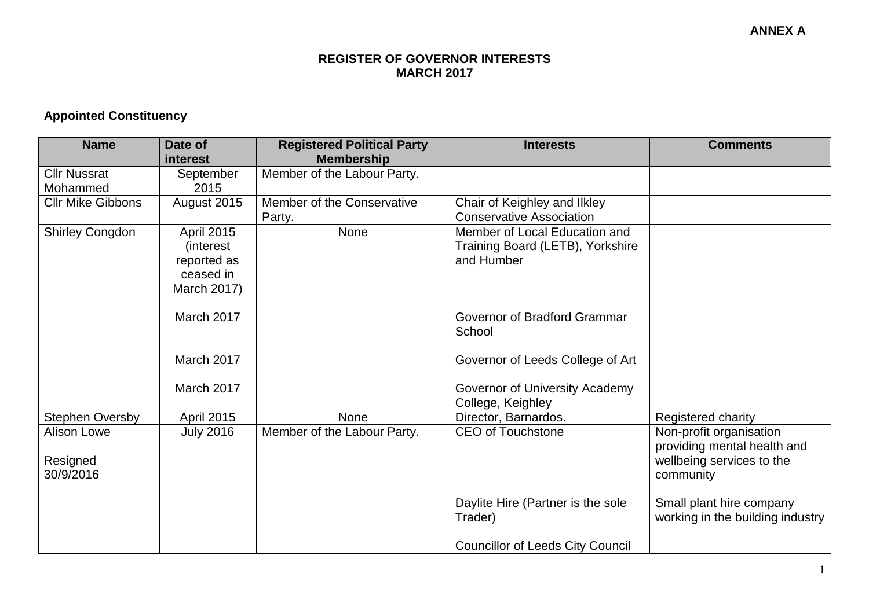#### **REGISTER OF GOVERNOR INTERESTS MARCH 2017**

## **Appointed Constituency**

| <b>Name</b>              | Date of           | <b>Registered Political Party</b> | <b>Interests</b>                        | <b>Comments</b>                  |
|--------------------------|-------------------|-----------------------------------|-----------------------------------------|----------------------------------|
|                          | interest          | <b>Membership</b>                 |                                         |                                  |
| <b>Cllr Nussrat</b>      | September         | Member of the Labour Party.       |                                         |                                  |
| Mohammed                 | 2015              |                                   |                                         |                                  |
| <b>Cllr Mike Gibbons</b> | August 2015       | Member of the Conservative        | Chair of Keighley and Ilkley            |                                  |
|                          |                   | Party.                            | <b>Conservative Association</b>         |                                  |
| <b>Shirley Congdon</b>   | <b>April 2015</b> | <b>None</b>                       | Member of Local Education and           |                                  |
|                          | <i>(interest)</i> |                                   | Training Board (LETB), Yorkshire        |                                  |
|                          | reported as       |                                   | and Humber                              |                                  |
|                          | ceased in         |                                   |                                         |                                  |
|                          | March 2017)       |                                   |                                         |                                  |
|                          |                   |                                   |                                         |                                  |
|                          | March 2017        |                                   | Governor of Bradford Grammar            |                                  |
|                          |                   |                                   | School                                  |                                  |
|                          | March 2017        |                                   |                                         |                                  |
|                          |                   |                                   | Governor of Leeds College of Art        |                                  |
|                          | March 2017        |                                   | Governor of University Academy          |                                  |
|                          |                   |                                   | College, Keighley                       |                                  |
| <b>Stephen Oversby</b>   | <b>April 2015</b> | None                              | Director, Barnardos.                    | Registered charity               |
| <b>Alison Lowe</b>       | <b>July 2016</b>  | Member of the Labour Party.       | <b>CEO of Touchstone</b>                | Non-profit organisation          |
|                          |                   |                                   |                                         | providing mental health and      |
| Resigned                 |                   |                                   |                                         | wellbeing services to the        |
| 30/9/2016                |                   |                                   |                                         | community                        |
|                          |                   |                                   |                                         |                                  |
|                          |                   |                                   | Daylite Hire (Partner is the sole       | Small plant hire company         |
|                          |                   |                                   | Trader)                                 | working in the building industry |
|                          |                   |                                   |                                         |                                  |
|                          |                   |                                   | <b>Councillor of Leeds City Council</b> |                                  |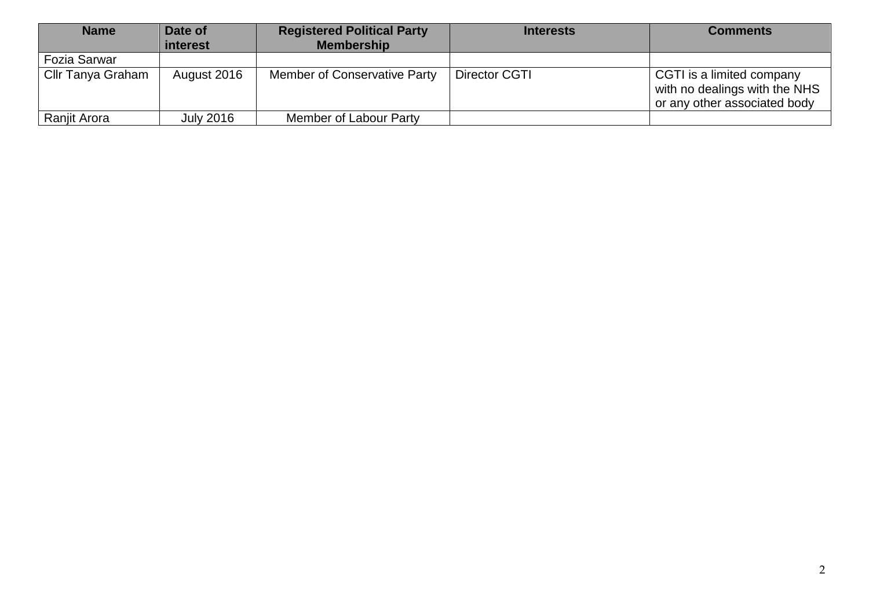| <b>Name</b>              | Date of<br>interest | <b>Registered Political Party</b><br><b>Membership</b> | <b>Interests</b> | <b>Comments</b>                                                                            |
|--------------------------|---------------------|--------------------------------------------------------|------------------|--------------------------------------------------------------------------------------------|
| Fozia Sarwar             |                     |                                                        |                  |                                                                                            |
| <b>Cllr Tanya Graham</b> | August 2016         | <b>Member of Conservative Party</b>                    | Director CGTI    | CGTI is a limited company<br>with no dealings with the NHS<br>or any other associated body |
| Ranjit Arora             | <b>July 2016</b>    | Member of Labour Party                                 |                  |                                                                                            |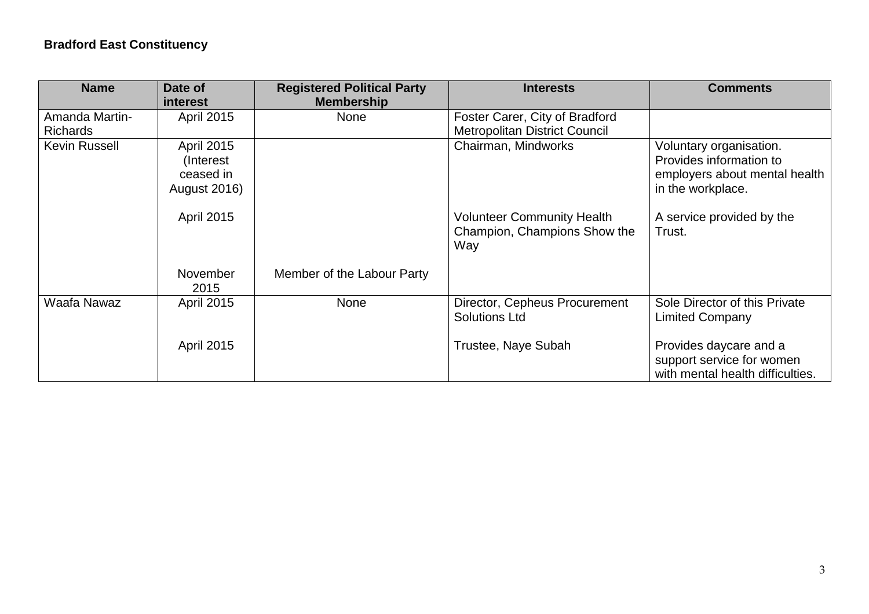# **Bradford East Constituency**

| <b>Name</b>                       | Date of<br><i>interest</i>                                                               | <b>Registered Political Party</b><br><b>Membership</b> | <b>Interests</b>                                                       | <b>Comments</b>                                                                                                                       |
|-----------------------------------|------------------------------------------------------------------------------------------|--------------------------------------------------------|------------------------------------------------------------------------|---------------------------------------------------------------------------------------------------------------------------------------|
| Amanda Martin-<br><b>Richards</b> | <b>April 2015</b>                                                                        | None                                                   | Foster Carer, City of Bradford<br><b>Metropolitan District Council</b> |                                                                                                                                       |
| <b>Kevin Russell</b>              | <b>April 2015</b><br>(Interest)<br>ceased in<br><b>August 2016)</b><br><b>April 2015</b> |                                                        | Chairman, Mindworks<br><b>Volunteer Community Health</b>               | Voluntary organisation.<br>Provides information to<br>employers about mental health<br>in the workplace.<br>A service provided by the |
|                                   |                                                                                          |                                                        | Champion, Champions Show the<br>Way                                    | Trust.                                                                                                                                |
|                                   | November<br>2015                                                                         | Member of the Labour Party                             |                                                                        |                                                                                                                                       |
| Waafa Nawaz                       | <b>April 2015</b>                                                                        | <b>None</b>                                            | Director, Cepheus Procurement<br><b>Solutions Ltd</b>                  | Sole Director of this Private<br><b>Limited Company</b>                                                                               |
|                                   | <b>April 2015</b>                                                                        |                                                        | Trustee, Naye Subah                                                    | Provides daycare and a<br>support service for women<br>with mental health difficulties.                                               |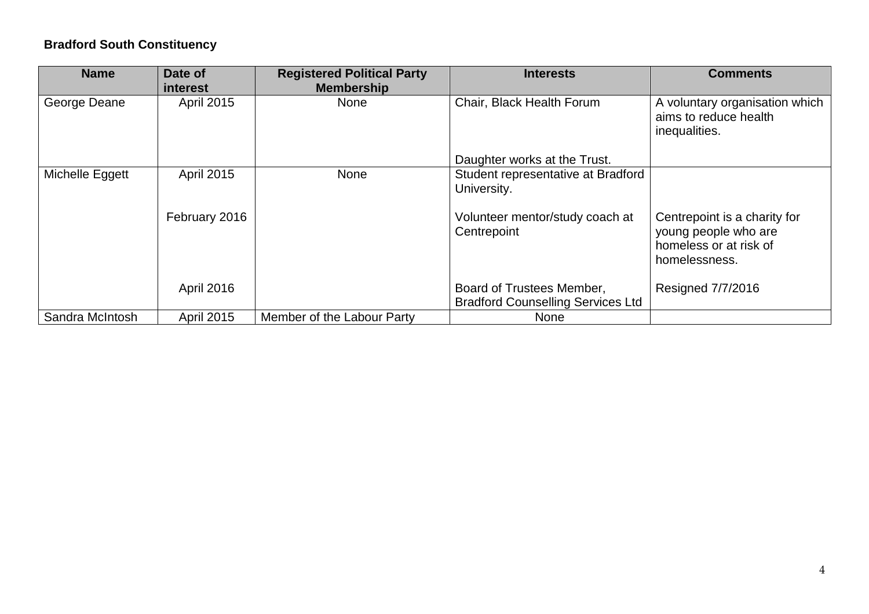### **Bradford South Constituency**

| <b>Name</b>     | Date of<br><b>interest</b> | <b>Registered Political Party</b><br><b>Membership</b> | <b>Interests</b>                                                      | <b>Comments</b>                                                                                 |
|-----------------|----------------------------|--------------------------------------------------------|-----------------------------------------------------------------------|-------------------------------------------------------------------------------------------------|
| George Deane    | April 2015                 | None                                                   | Chair, Black Health Forum                                             | A voluntary organisation which<br>aims to reduce health<br>inequalities.                        |
|                 |                            |                                                        | Daughter works at the Trust.                                          |                                                                                                 |
| Michelle Eggett | April 2015                 | None                                                   | Student representative at Bradford<br>University.                     |                                                                                                 |
|                 | February 2016              |                                                        | Volunteer mentor/study coach at<br>Centrepoint                        | Centrepoint is a charity for<br>young people who are<br>homeless or at risk of<br>homelessness. |
|                 | <b>April 2016</b>          |                                                        | Board of Trustees Member,<br><b>Bradford Counselling Services Ltd</b> | Resigned 7/7/2016                                                                               |
| Sandra McIntosh | <b>April 2015</b>          | Member of the Labour Party                             | <b>None</b>                                                           |                                                                                                 |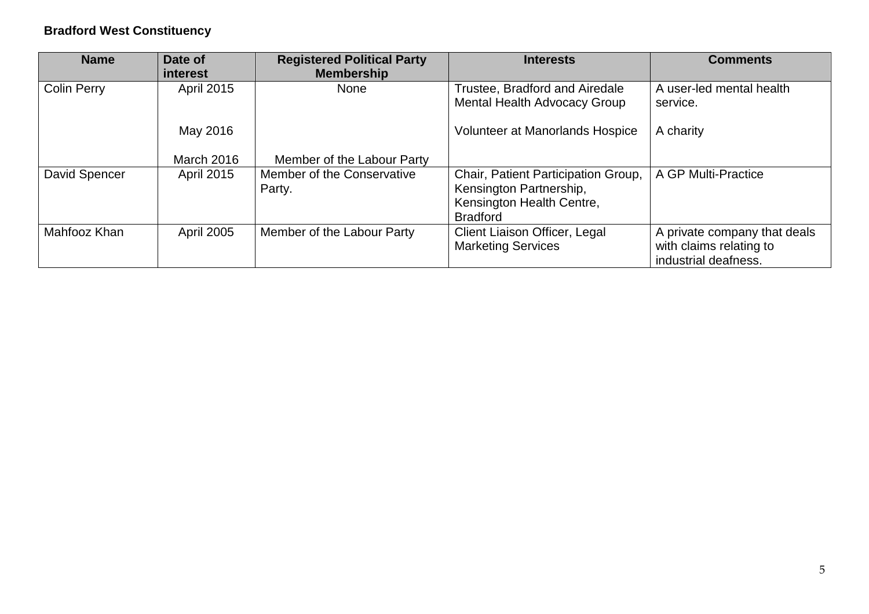### **Bradford West Constituency**

| <b>Name</b>        | Date of<br><i>interest</i> | <b>Registered Political Party</b><br><b>Membership</b> | <b>Interests</b>                                                                                               | <b>Comments</b>                                                                 |
|--------------------|----------------------------|--------------------------------------------------------|----------------------------------------------------------------------------------------------------------------|---------------------------------------------------------------------------------|
| <b>Colin Perry</b> | <b>April 2015</b>          | <b>None</b>                                            | Trustee, Bradford and Airedale<br>Mental Health Advocacy Group                                                 | A user-led mental health<br>service.                                            |
|                    | May 2016                   |                                                        | <b>Volunteer at Manorlands Hospice</b>                                                                         | A charity                                                                       |
|                    | <b>March 2016</b>          | Member of the Labour Party                             |                                                                                                                |                                                                                 |
| David Spencer      | <b>April 2015</b>          | Member of the Conservative<br>Party.                   | Chair, Patient Participation Group,<br>Kensington Partnership,<br>Kensington Health Centre,<br><b>Bradford</b> | A GP Multi-Practice                                                             |
| Mahfooz Khan       | <b>April 2005</b>          | Member of the Labour Party                             | Client Liaison Officer, Legal<br><b>Marketing Services</b>                                                     | A private company that deals<br>with claims relating to<br>industrial deafness. |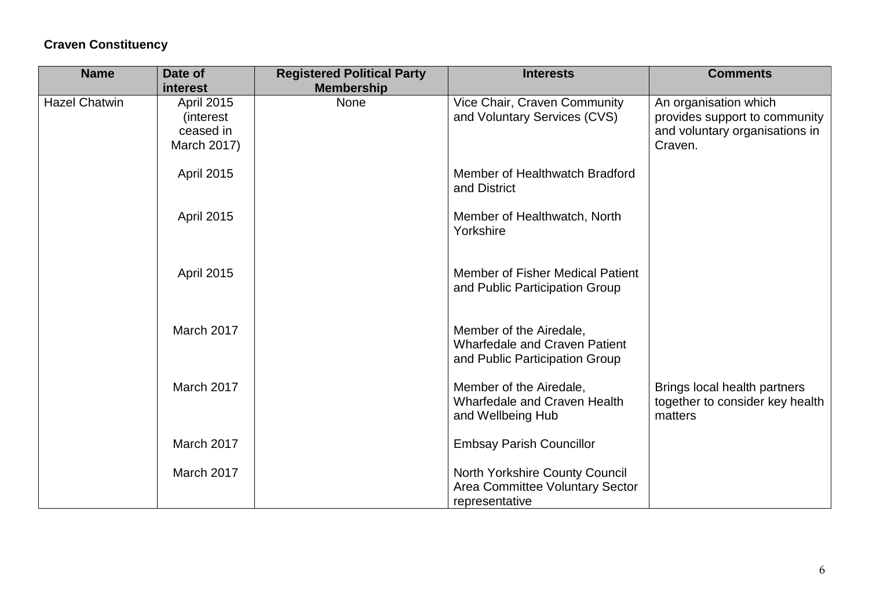## **Craven Constituency**

| <b>Name</b>          | Date of           | <b>Registered Political Party</b> | <b>Interests</b>                                                | <b>Comments</b>                                                 |
|----------------------|-------------------|-----------------------------------|-----------------------------------------------------------------|-----------------------------------------------------------------|
|                      | interest          | <b>Membership</b>                 |                                                                 |                                                                 |
| <b>Hazel Chatwin</b> | <b>April 2015</b> | None                              | Vice Chair, Craven Community                                    | An organisation which                                           |
|                      | <i>(interest)</i> |                                   | and Voluntary Services (CVS)                                    | provides support to community                                   |
|                      | ceased in         |                                   |                                                                 | and voluntary organisations in                                  |
|                      | March 2017)       |                                   |                                                                 | Craven.                                                         |
|                      | April 2015        |                                   | Member of Healthwatch Bradford                                  |                                                                 |
|                      |                   |                                   | and District                                                    |                                                                 |
|                      | April 2015        |                                   | Member of Healthwatch, North                                    |                                                                 |
|                      |                   |                                   | Yorkshire                                                       |                                                                 |
|                      |                   |                                   |                                                                 |                                                                 |
|                      | April 2015        |                                   | Member of Fisher Medical Patient                                |                                                                 |
|                      |                   |                                   | and Public Participation Group                                  |                                                                 |
|                      |                   |                                   |                                                                 |                                                                 |
|                      | March 2017        |                                   | Member of the Airedale,<br><b>Wharfedale and Craven Patient</b> |                                                                 |
|                      |                   |                                   | and Public Participation Group                                  |                                                                 |
|                      | March 2017        |                                   |                                                                 |                                                                 |
|                      |                   |                                   | Member of the Airedale,<br><b>Wharfedale and Craven Health</b>  | Brings local health partners<br>together to consider key health |
|                      |                   |                                   | and Wellbeing Hub                                               | matters                                                         |
|                      | March 2017        |                                   |                                                                 |                                                                 |
|                      |                   |                                   | <b>Embsay Parish Councillor</b>                                 |                                                                 |
|                      | March 2017        |                                   | North Yorkshire County Council                                  |                                                                 |
|                      |                   |                                   | Area Committee Voluntary Sector                                 |                                                                 |
|                      |                   |                                   | representative                                                  |                                                                 |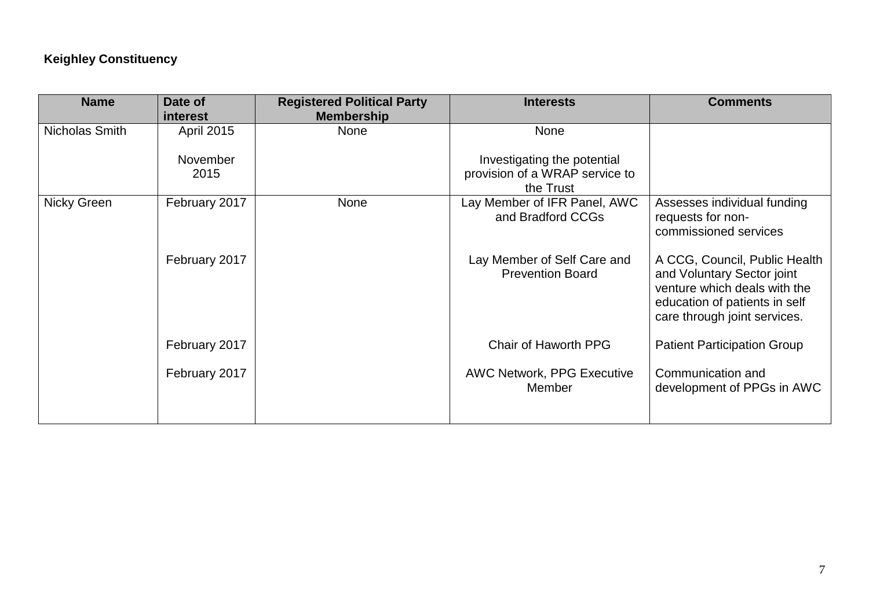### **Keighley Constituency**

| <b>Name</b>    | Date of           | <b>Registered Political Party</b> | <b>Interests</b>                                       | <b>Comments</b>                                                                                                                                              |
|----------------|-------------------|-----------------------------------|--------------------------------------------------------|--------------------------------------------------------------------------------------------------------------------------------------------------------------|
|                | <b>interest</b>   | <b>Membership</b>                 |                                                        |                                                                                                                                                              |
| Nicholas Smith | <b>April 2015</b> | <b>None</b>                       | <b>None</b>                                            |                                                                                                                                                              |
|                | November          |                                   | Investigating the potential                            |                                                                                                                                                              |
|                | 2015              |                                   | provision of a WRAP service to                         |                                                                                                                                                              |
|                |                   |                                   | the Trust                                              |                                                                                                                                                              |
| Nicky Green    | February 2017     | None                              | Lay Member of IFR Panel, AWC<br>and Bradford CCGs      | Assesses individual funding<br>requests for non-<br>commissioned services                                                                                    |
|                | February 2017     |                                   | Lay Member of Self Care and<br><b>Prevention Board</b> | A CCG, Council, Public Health<br>and Voluntary Sector joint<br>venture which deals with the<br>education of patients in self<br>care through joint services. |
|                | February 2017     |                                   | Chair of Haworth PPG                                   | <b>Patient Participation Group</b>                                                                                                                           |
|                | February 2017     |                                   | <b>AWC Network, PPG Executive</b><br>Member            | Communication and<br>development of PPGs in AWC                                                                                                              |
|                |                   |                                   |                                                        |                                                                                                                                                              |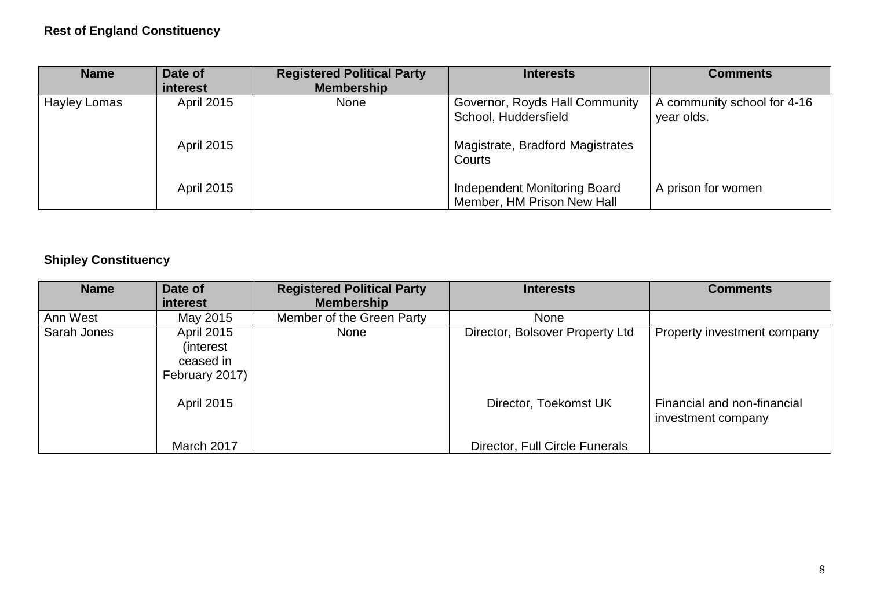## **Rest of England Constituency**

| <b>Name</b>         | Date of<br>interest | <b>Registered Political Party</b><br><b>Membership</b> | <b>Interests</b>                                                  | <b>Comments</b>                           |
|---------------------|---------------------|--------------------------------------------------------|-------------------------------------------------------------------|-------------------------------------------|
| <b>Hayley Lomas</b> | <b>April 2015</b>   | <b>None</b>                                            | Governor, Royds Hall Community<br>School, Huddersfield            | A community school for 4-16<br>year olds. |
|                     | <b>April 2015</b>   |                                                        | Magistrate, Bradford Magistrates<br>Courts                        |                                           |
|                     | <b>April 2015</b>   |                                                        | <b>Independent Monitoring Board</b><br>Member, HM Prison New Hall | A prison for women                        |

## **Shipley Constituency**

| <b>Name</b> | Date of<br>interest                                                   | <b>Registered Political Party</b><br><b>Membership</b> | <b>Interests</b>                | <b>Comments</b>                                   |
|-------------|-----------------------------------------------------------------------|--------------------------------------------------------|---------------------------------|---------------------------------------------------|
| Ann West    | May 2015                                                              | Member of the Green Party                              | <b>None</b>                     |                                                   |
| Sarah Jones | <b>April 2015</b><br><i>(interest)</i><br>ceased in<br>February 2017) | <b>None</b>                                            | Director, Bolsover Property Ltd | Property investment company                       |
|             | <b>April 2015</b>                                                     |                                                        | Director, Toekomst UK           | Financial and non-financial<br>investment company |
|             | March 2017                                                            |                                                        | Director, Full Circle Funerals  |                                                   |